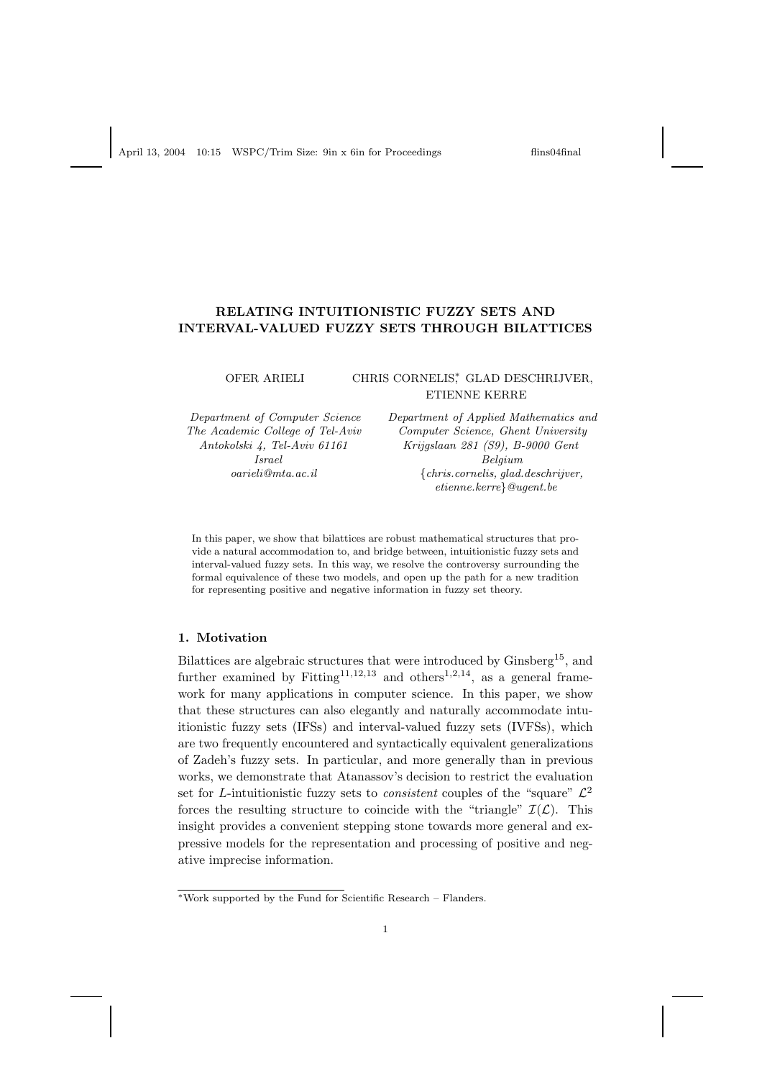## RELATING INTUITIONISTIC FUZZY SETS AND INTERVAL-VALUED FUZZY SETS THROUGH BILATTICES

# OFER ARIELI CHRIS CORNELIS<sup>\*</sup>, GLAD DESCHRIJVER, ETIENNE KERRE

Department of Computer Science Department of Applied Mathematics and The Academic College of Tel-Aviv Computer Science, Ghent University Antokolski 4, Tel-Aviv 61161 Krijgslaan 281 (S9), B-9000 Gent **Israel** Belgium oarieli@mta.ac.il {chris.cornelis, glad.deschrijver, etienne.kerre}@ugent.be

In this paper, we show that bilattices are robust mathematical structures that provide a natural accommodation to, and bridge between, intuitionistic fuzzy sets and interval-valued fuzzy sets. In this way, we resolve the controversy surrounding the formal equivalence of these two models, and open up the path for a new tradition for representing positive and negative information in fuzzy set theory.

# 1. Motivation

Bilattices are algebraic structures that were introduced by Ginsberg<sup>15</sup>, and further examined by Fitting<sup>11,12,13</sup> and others<sup>1,2,14</sup>, as a general framework for many applications in computer science. In this paper, we show that these structures can also elegantly and naturally accommodate intuitionistic fuzzy sets (IFSs) and interval-valued fuzzy sets (IVFSs), which are two frequently encountered and syntactically equivalent generalizations of Zadeh's fuzzy sets. In particular, and more generally than in previous works, we demonstrate that Atanassov's decision to restrict the evaluation set for *L*-intuitionistic fuzzy sets to *consistent* couples of the "square"  $\mathcal{L}^2$ forces the resulting structure to coincide with the "triangle"  $\mathcal{I}(\mathcal{L})$ . This insight provides a convenient stepping stone towards more general and expressive models for the representation and processing of positive and negative imprecise information.

<sup>∗</sup>Work supported by the Fund for Scientific Research – Flanders.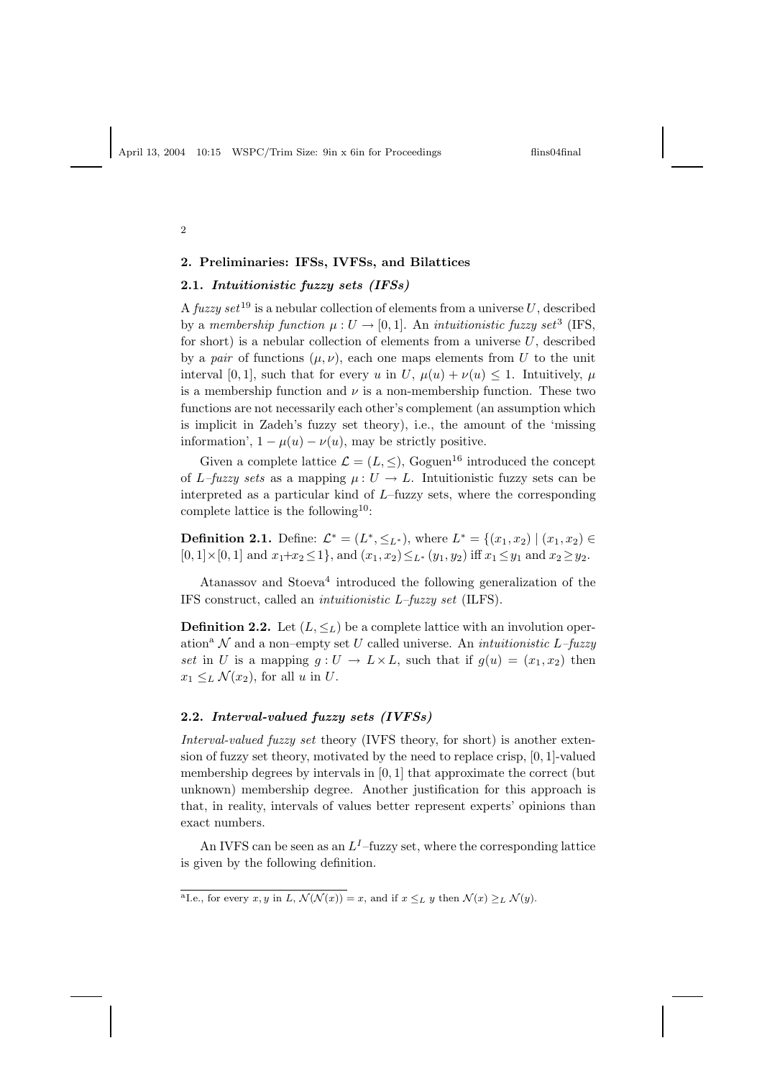2

# 2. Preliminaries: IFSs, IVFSs, and Bilattices

## 2.1. Intuitionistic fuzzy sets (IFSs)

A fuzzy set <sup>19</sup> is a nebular collection of elements from a universe U, described by a membership function  $\mu: U \to [0, 1]$ . An intuitionistic fuzzy set<sup>3</sup> (IFS, for short) is a nebular collection of elements from a universe  $U$ , described by a pair of functions  $(\mu, \nu)$ , each one maps elements from U to the unit interval [0, 1], such that for every u in U,  $\mu(u) + \nu(u) \leq 1$ . Intuitively,  $\mu$ is a membership function and  $\nu$  is a non-membership function. These two functions are not necessarily each other's complement (an assumption which is implicit in Zadeh's fuzzy set theory), i.e., the amount of the 'missing information',  $1 - \mu(u) - \nu(u)$ , may be strictly positive.

Given a complete lattice  $\mathcal{L} = (L, \leq),$  Goguen<sup>16</sup> introduced the concept of L–fuzzy sets as a mapping  $\mu: U \to L$ . Intuitionistic fuzzy sets can be interpreted as a particular kind of  $L$ –fuzzy sets, where the corresponding complete lattice is the following<sup>10</sup>:

**Definition 2.1.** Define:  $\mathcal{L}^* = (L^*, \leq_{L^*})$ , where  $L^* = \{(x_1, x_2) \mid (x_1, x_2) \in$  $[0, 1] \times [0, 1]$  and  $x_1 + x_2 \le 1$ , and  $(x_1, x_2) \le L^* (y_1, y_2)$  iff  $x_1 \le y_1$  and  $x_2 \ge y_2$ .

Atanassov and Stoeva<sup>4</sup> introduced the following generalization of the IFS construct, called an intuitionistic L–fuzzy set (ILFS).

**Definition 2.2.** Let  $(L, \leq_L)$  be a complete lattice with an involution operation<sup>a</sup> N and a non–empty set U called universe. An *intuitionistic L–fuzzy* set in U is a mapping  $g: U \to L \times L$ , such that if  $g(u) = (x_1, x_2)$  then  $x_1 \leq_L \mathcal{N}(x_2)$ , for all u in U.

### 2.2. Interval-valued fuzzy sets (IVFSs)

Interval-valued fuzzy set theory (IVFS theory, for short) is another extension of fuzzy set theory, motivated by the need to replace crisp, [0, 1]-valued membership degrees by intervals in [0, 1] that approximate the correct (but unknown) membership degree. Another justification for this approach is that, in reality, intervals of values better represent experts' opinions than exact numbers.

An IVFS can be seen as an  $L^I$ -fuzzy set, where the corresponding lattice is given by the following definition.

<sup>&</sup>lt;sup>a</sup>Le., for every x, y in L,  $\mathcal{N}(\mathcal{N}(x)) = x$ , and if  $x \leq_L y$  then  $\mathcal{N}(x) \geq_L \mathcal{N}(y)$ .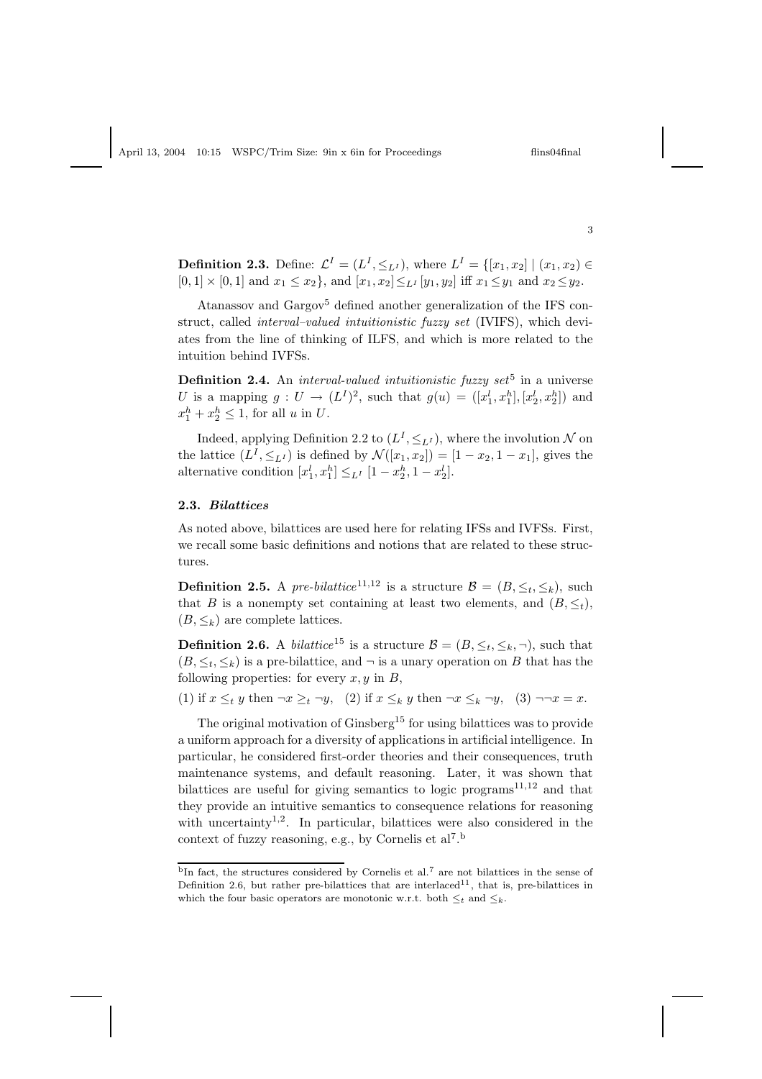**Definition 2.3.** Define:  $\mathcal{L}^{I} = (L^{I}, \leq_{L^{I}})$ , where  $L^{I} = \{[x_1, x_2] | (x_1, x_2) \in$  $[0,1] \times [0,1]$  and  $x_1 \leq x_2$ , and  $[x_1, x_2] \leq_{L} [y_1, y_2]$  iff  $x_1 \leq y_1$  and  $x_2 \leq y_2$ .

Atanassov and Gargov<sup>5</sup> defined another generalization of the IFS construct, called interval–valued intuitionistic fuzzy set (IVIFS), which deviates from the line of thinking of ILFS, and which is more related to the intuition behind IVFSs.

**Definition 2.4.** An *interval-valued intuitionistic fuzzy set*<sup>5</sup> in a universe U is a mapping  $g: U \to (L^I)^2$ , such that  $g(u) = ([x_1^l, x_1^h], [x_2^l, x_2^h])$  and  $x_1^h + x_2^h \leq 1$ , for all u in U.

Indeed, applying Definition 2.2 to  $(L^I, \leq_{L^I})$ , where the involution  $N$  on the lattice  $(L^I, \leq_{L^I})$  is defined by  $\mathcal{N}([x_1, x_2]) = [1 - x_2, 1 - x_1]$ , gives the alternative condition  $[x_1^l, x_1^h] \leq_{L^I} [1 - x_2^h, 1 - x_2^l].$ 

#### 2.3. Bilattices

As noted above, bilattices are used here for relating IFSs and IVFSs. First, we recall some basic definitions and notions that are related to these structures.

**Definition 2.5.** A pre-bilattice<sup>11,12</sup> is a structure  $\mathcal{B} = (B, \leq_t, \leq_k)$ , such that B is a nonempty set containing at least two elements, and  $(B, \leq_t)$ ,  $(B, \leq_k)$  are complete lattices.

**Definition 2.6.** A *bilattice*<sup>15</sup> is a structure  $\mathcal{B} = (B, \leq_t, \leq_k, \neg)$ , such that  $(B, \leq_t, \leq_k)$  is a pre-bilattice, and  $\neg$  is a unary operation on B that has the following properties: for every  $x, y$  in  $B$ ,

(1) if  $x \leq_t y$  then  $\neg x \geq_t \neg y$ , (2) if  $x \leq_k y$  then  $\neg x \leq_k \neg y$ , (3)  $\neg\neg x = x$ .

The original motivation of  $G$ insberg<sup>15</sup> for using bilattices was to provide a uniform approach for a diversity of applications in artificial intelligence. In particular, he considered first-order theories and their consequences, truth maintenance systems, and default reasoning. Later, it was shown that bilattices are useful for giving semantics to logic programs<sup>11,12</sup> and that they provide an intuitive semantics to consequence relations for reasoning with uncertainty<sup>1,2</sup>. In particular, bilattices were also considered in the context of fuzzy reasoning, e.g., by Cornelis et al<sup>7</sup>.<sup>b</sup>

3

<sup>&</sup>lt;sup>b</sup>In fact, the structures considered by Cornelis et al.<sup>7</sup> are not bilattices in the sense of Definition 2.6, but rather pre-bilattices that are interlaced<sup>11</sup>, that is, pre-bilattices in which the four basic operators are monotonic w.r.t. both  $\leq_t$  and  $\leq_k$ .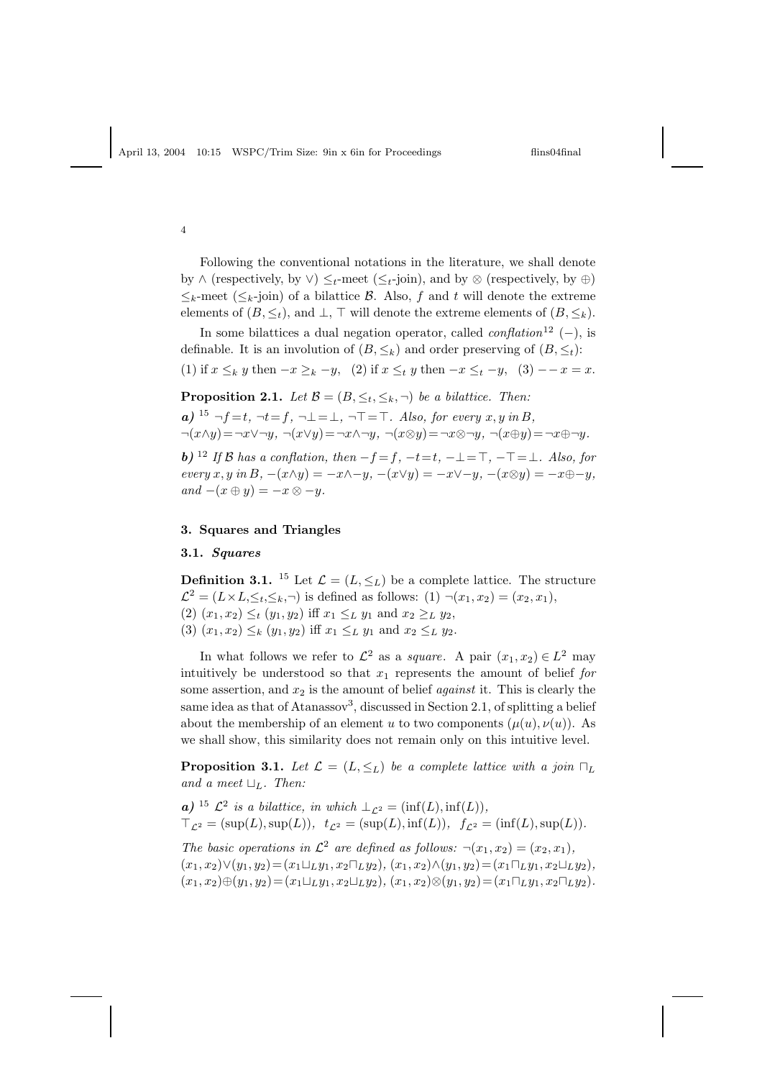4

Following the conventional notations in the literature, we shall denote by  $\wedge$  (respectively, by  $\vee$ )  $\leq_t$ -meet ( $\leq_t$ -join), and by  $\otimes$  (respectively, by  $\oplus$ )  $\leq_k$ -meet  $(\leq_k$ -join) of a bilattice B. Also, f and t will denote the extreme elements of  $(B, \leq_t)$ , and  $\perp$ , ⊤ will denote the extreme elements of  $(B, \leq_k)$ .

In some bilattices a dual negation operator, called  $\text{conflation}^{12}$  (−), is definable. It is an involution of  $(B, \leq_k)$  and order preserving of  $(B, \leq_t)$ : (1) if  $x \leq_k y$  then  $-x \geq_k -y$ , (2) if  $x \leq_t y$  then  $-x \leq_t -y$ , (3)  $-x = x$ .

**Proposition 2.1.** Let  $\mathcal{B} = (B, \leq_t, \leq_k, \neg)$  be a bilattice. Then:

a) 
$$
{}^{15} \neg f = t
$$
,  $\neg t = f$ ,  $\neg \bot = \bot$ ,  $\neg \top = \top$ . Also, for every  $x, y$  in  $B$ ,  
 $\neg(x \land y) = \neg x \lor \neg y$ ,  $\neg(x \lor y) = \neg x \land \neg y$ ,  $\neg(x \otimes y) = \neg x \otimes \neg y$ ,  $\neg(x \oplus y) = \neg x \oplus \neg y$ .

**b**) <sup>12</sup> If B has a conflation, then  $-f=f, -t=t, -\bot = \top, -\top = \bot$ . Also, for every  $x, y$  in  $B, -(x \wedge y) = -x \wedge -y, -(x \vee y) = -x \vee -y, -(x \otimes y) = -x \oplus -y,$ and  $-(x \oplus y) = -x \otimes -y$ .

### 3. Squares and Triangles

### 3.1. Squares

**Definition 3.1.** <sup>15</sup> Let  $\mathcal{L} = (L, \leq_L)$  be a complete lattice. The structure  $\mathcal{L}^2 = (L \times L, \leq_t, \leq_h, \neg)$  is defined as follows:  $(1) \neg (x_1, x_2) = (x_2, x_1),$ (2)  $(x_1, x_2) \leq_t (y_1, y_2)$  iff  $x_1 \leq_L y_1$  and  $x_2 \geq_L y_2$ , (3)  $(x_1, x_2) \leq_k (y_1, y_2)$  iff  $x_1 \leq_L y_1$  and  $x_2 \leq_L y_2$ .

In what follows we refer to  $\mathcal{L}^2$  as a *square*. A pair  $(x_1, x_2) \in L^2$  may intuitively be understood so that  $x_1$  represents the amount of belief for some assertion, and  $x_2$  is the amount of belief *against* it. This is clearly the same idea as that of Atanassov<sup>3</sup>, discussed in Section 2.1, of splitting a belief about the membership of an element u to two components  $(\mu(u), \nu(u))$ . As we shall show, this similarity does not remain only on this intuitive level.

**Proposition 3.1.** Let  $\mathcal{L} = (L, \leq_L)$  be a complete lattice with a join  $\sqcap_L$ and a meet  $\sqcup_L$ . Then:

**a**) <sup>15</sup>  $\mathcal{L}^2$  is a bilattice, in which  $\perp_{\mathcal{L}^2} = (\inf(L), \inf(L)),$  $\top_{\mathcal{L}^2} = (\sup(L), \sup(L)), t_{\mathcal{L}^2} = (\sup(L), \inf(L)), f_{\mathcal{L}^2} = (\inf(L), \sup(L)).$ 

The basic operations in  $\mathcal{L}^2$  are defined as follows:  $\neg(x_1, x_2) = (x_2, x_1),$  $(x_1, x_2) \vee (y_1, y_2) = (x_1 \sqcup_L y_1, x_2 \sqcap_L y_2), (x_1, x_2) \wedge (y_1, y_2) = (x_1 \sqcap_L y_1, x_2 \sqcup_L y_2),$  $(x_1, x_2) \oplus (y_1, y_2) = (x_1 \sqcup_L y_1, x_2 \sqcup_L y_2), (x_1, x_2) \otimes (y_1, y_2) = (x_1 \sqcap_L y_1, x_2 \sqcap_L y_2).$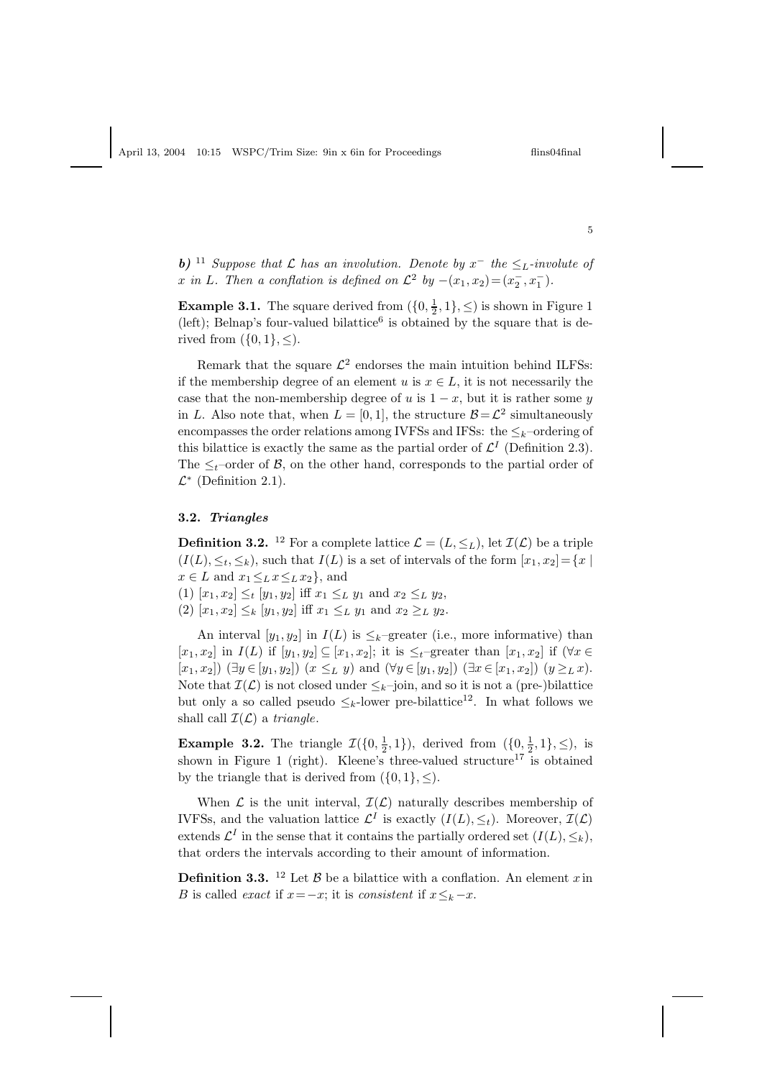**b)** <sup>11</sup> Suppose that  $\mathcal L$  has an involution. Denote by  $x^-$  the  $\leq_L$ -involute of x in L. Then a conflation is defined on  $\mathcal{L}^2$  by  $-(x_1, x_2) = (x_2^-, x_1^-)$ .

**Example 3.1.** The square derived from  $(\{0, \frac{1}{2}, 1\}, \leq)$  is shown in Figure 1 (left); Belnap's four-valued bilattice<sup>6</sup> is obtained by the square that is derived from  $(\{0,1\}, \leq)$ .

Remark that the square  $\mathcal{L}^2$  endorses the main intuition behind ILFSs: if the membership degree of an element u is  $x \in L$ , it is not necessarily the case that the non-membership degree of u is  $1 - x$ , but it is rather some y in L. Also note that, when  $L = [0, 1]$ , the structure  $\mathcal{B} = \mathcal{L}^2$  simultaneously encompasses the order relations among IVFSs and IFSs: the  $\leq_k$ -ordering of this bilattice is exactly the same as the partial order of  $\mathcal{L}^{I}$  (Definition 2.3). The  $\leq_t$ -order of B, on the other hand, corresponds to the partial order of  $\mathcal{L}^*$  (Definition 2.1).

### 3.2. Triangles

**Definition 3.2.** <sup>12</sup> For a complete lattice  $\mathcal{L} = (L, \leq_L)$ , let  $\mathcal{I}(\mathcal{L})$  be a triple  $(I(L), \leq_t, \leq_k)$ , such that  $I(L)$  is a set of intervals of the form  $[x_1, x_2] = \{x \mid k\}$  $x \in L$  and  $x_1 \leq_L x \leq_L x_2$ , and

(1)  $[x_1, x_2] \leq_t [y_1, y_2]$  iff  $x_1 \leq_L y_1$  and  $x_2 \leq_L y_2$ ,

(2)  $[x_1, x_2] \leq_k [y_1, y_2]$  iff  $x_1 \leq_L y_1$  and  $x_2 \geq_L y_2$ .

An interval  $[y_1, y_2]$  in  $I(L)$  is  $\leq_k$ -greater (i.e., more informative) than  $[x_1, x_2]$  in  $I(L)$  if  $[y_1, y_2] \subseteq [x_1, x_2]$ ; it is  $\leq_t$ -greater than  $[x_1, x_2]$  if  $(\forall x \in$  $[x_1, x_2]$  ( $\exists y \in [y_1, y_2]$ )  $(x \leq_L y)$  and  $(\forall y \in [y_1, y_2])$  ( $\exists x \in [x_1, x_2]$ )  $(y \geq_L x)$ . Note that  $\mathcal{I}(\mathcal{L})$  is not closed under  $\leq_k$ –join, and so it is not a (pre-)bilattice but only a so called pseudo  $\leq_k$ -lower pre-bilattice<sup>12</sup>. In what follows we shall call  $\mathcal{I}(\mathcal{L})$  a triangle.

**Example 3.2.** The triangle  $\mathcal{I}(\{0, \frac{1}{2}, 1\})$ , derived from  $(\{0, \frac{1}{2}, 1\}, \leq)$ , is shown in Figure 1 (right). Kleene's three-valued structure<sup>17</sup> is obtained by the triangle that is derived from  $({0, 1}, \leq)$ .

When  $\mathcal L$  is the unit interval,  $\mathcal I(\mathcal L)$  naturally describes membership of IVFSs, and the valuation lattice  $\mathcal{L}^I$  is exactly  $(I(L), \leq_t)$ . Moreover,  $\mathcal{I}(\mathcal{L})$ extends  $\mathcal{L}^{I}$  in the sense that it contains the partially ordered set  $(I(L), \leq_{k}),$ that orders the intervals according to their amount of information.

**Definition 3.3.** <sup>12</sup> Let  $\beta$  be a bilattice with a conflation. An element x in B is called *exact* if  $x=-x$ ; it is *consistent* if  $x\leq_k-x$ .

5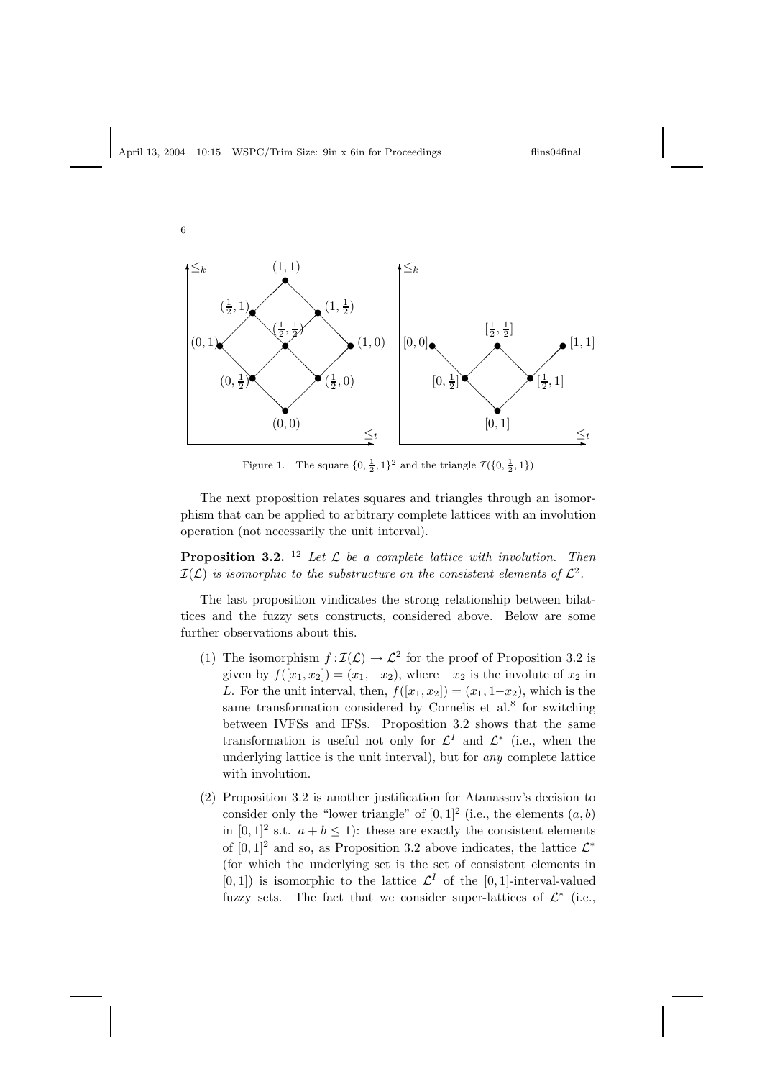

Figure 1. The square  $\{0, \frac{1}{2}, 1\}^2$  and the triangle  $\mathcal{I}(\{0, \frac{1}{2}, 1\})$ 

The next proposition relates squares and triangles through an isomorphism that can be applied to arbitrary complete lattices with an involution operation (not necessarily the unit interval).

**Proposition 3.2.** <sup>12</sup> Let  $\mathcal{L}$  be a complete lattice with involution. Then  $\mathcal{I}(\mathcal{L})$  is isomorphic to the substructure on the consistent elements of  $\mathcal{L}^2$ .

The last proposition vindicates the strong relationship between bilattices and the fuzzy sets constructs, considered above. Below are some further observations about this.

- (1) The isomorphism  $f : \mathcal{I}(\mathcal{L}) \to \mathcal{L}^2$  for the proof of Proposition 3.2 is given by  $f([x_1, x_2]) = (x_1, -x_2)$ , where  $-x_2$  is the involute of  $x_2$  in L. For the unit interval, then,  $f([x_1, x_2]) = (x_1, 1-x_2)$ , which is the same transformation considered by Cornelis et al.<sup>8</sup> for switching between IVFSs and IFSs. Proposition 3.2 shows that the same transformation is useful not only for  $\mathcal{L}^I$  and  $\mathcal{L}^*$  (i.e., when the underlying lattice is the unit interval), but for any complete lattice with involution.
- (2) Proposition 3.2 is another justification for Atanassov's decision to consider only the "lower triangle" of  $[0,1]^2$  (i.e., the elements  $(a, b)$ ) in  $[0, 1]^2$  s.t.  $a + b \le 1$ : these are exactly the consistent elements of  $[0,1]^2$  and so, as Proposition 3.2 above indicates, the lattice  $\mathcal{L}^*$ (for which the underlying set is the set of consistent elements in  $[0, 1]$ ) is isomorphic to the lattice  $\mathcal{L}^{I}$  of the  $[0, 1]$ -interval-valued fuzzy sets. The fact that we consider super-lattices of  $\mathcal{L}^*$  (i.e.,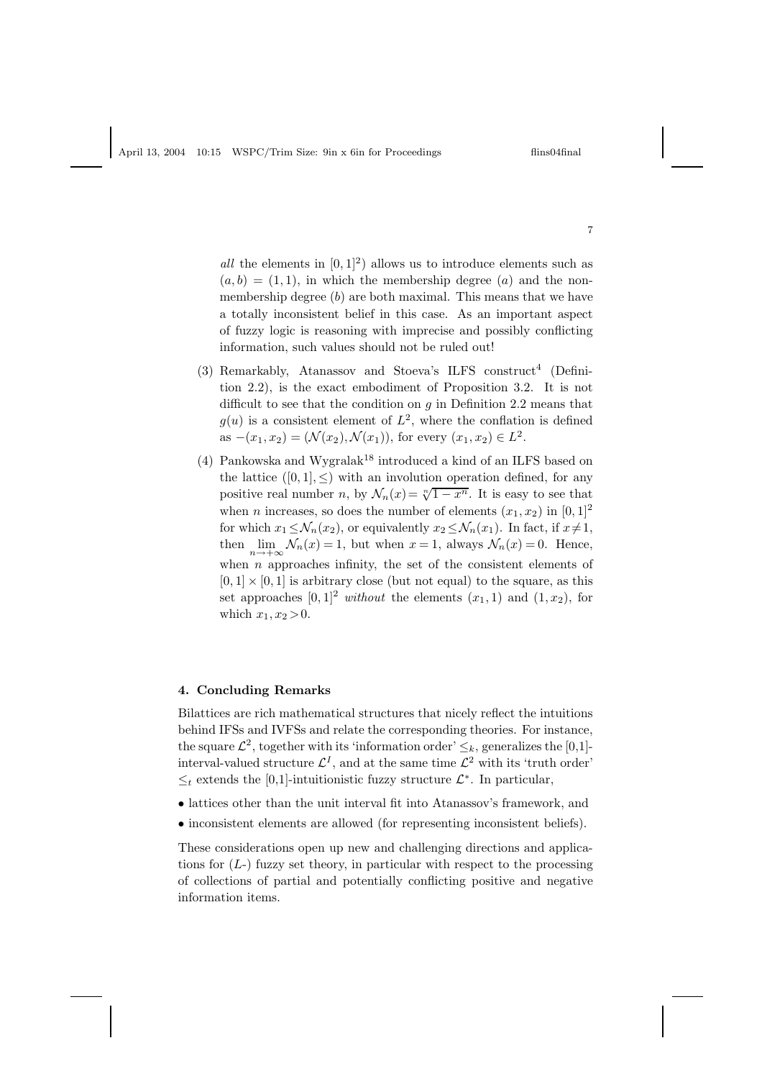all the elements in  $[0, 1]^2$  allows us to introduce elements such as  $(a, b) = (1, 1)$ , in which the membership degree  $(a)$  and the nonmembership degree  $(b)$  are both maximal. This means that we have a totally inconsistent belief in this case. As an important aspect of fuzzy logic is reasoning with imprecise and possibly conflicting information, such values should not be ruled out!

- (3) Remarkably, Atanassov and Stoeva's ILFS construct<sup>4</sup> (Definition 2.2), is the exact embodiment of Proposition 3.2. It is not difficult to see that the condition on  $g$  in Definition 2.2 means that  $g(u)$  is a consistent element of  $L^2$ , where the conflation is defined as  $-(x_1, x_2) = (\mathcal{N}(x_2), \mathcal{N}(x_1))$ , for every  $(x_1, x_2) \in L^2$ .
- (4) Pankowska and Wygralak<sup>18</sup> introduced a kind of an ILFS based on the lattice  $([0, 1], \leq)$  with an involution operation defined, for any positive real number n, by  $\mathcal{N}_n(x) = \sqrt[n]{1-x^n}$ . It is easy to see that when *n* increases, so does the number of elements  $(x_1, x_2)$  in  $[0, 1]^2$ for which  $x_1 \leq \mathcal{N}_n(x_2)$ , or equivalently  $x_2 \leq \mathcal{N}_n(x_1)$ . In fact, if  $x \neq 1$ , then  $\lim_{n \to +\infty} \mathcal{N}_n(x) = 1$ , but when  $x = 1$ , always  $\mathcal{N}_n(x) = 0$ . Hence, when  $n$  approaches infinity, the set of the consistent elements of  $[0, 1] \times [0, 1]$  is arbitrary close (but not equal) to the square, as this set approaches  $[0, 1]^2$  without the elements  $(x_1, 1)$  and  $(1, x_2)$ , for which  $x_1, x_2 > 0$ .

## 4. Concluding Remarks

Bilattices are rich mathematical structures that nicely reflect the intuitions behind IFSs and IVFSs and relate the corresponding theories. For instance, the square  $\mathcal{L}^2$ , together with its 'information order'  $\leq_k$ , generalizes the [0,1]interval-valued structure  $\mathcal{L}^{I}$ , and at the same time  $\mathcal{L}^{2}$  with its 'truth order'  $\leq_t$  extends the [0,1]-intuitionistic fuzzy structure  $\mathcal{L}^*.$  In particular,

- lattices other than the unit interval fit into Atanassov's framework, and
- inconsistent elements are allowed (for representing inconsistent beliefs).

These considerations open up new and challenging directions and applications for  $(L)$  fuzzy set theory, in particular with respect to the processing of collections of partial and potentially conflicting positive and negative information items.

7